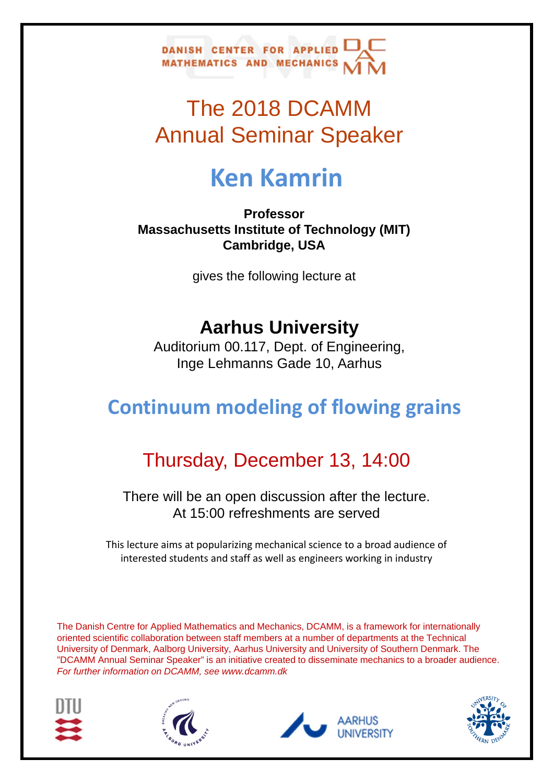

## The 2018 DCAMM Annual Seminar Speaker

# **Ken Kamrin**

**Professor Massachusetts Institute of Technology (MIT) Cambridge, USA**

gives the following lecture at

#### **Aarhus University**

Auditorium 00.117, Dept. of Engineering, Inge Lehmanns Gade 10, Aarhus

### **Continuum modeling of flowing grains**

### Thursday, December 13, 14:00

There will be an open discussion after the lecture. At 15:00 refreshments are served

This lecture aims at popularizing mechanical science to a broad audience of interested students and staff as well as engineers working in industry

The Danish Centre for Applied Mathematics and Mechanics, DCAMM, is a framework for internationally oriented scientific collaboration between staff members at a number of departments at the Technical University of Denmark, Aalborg University, Aarhus University and University of Southern Denmark. The "DCAMM Annual Seminar Speaker" is an initiative created to disseminate mechanics to a broader audience. *For further information on DCAMM, see www.dcamm.dk*